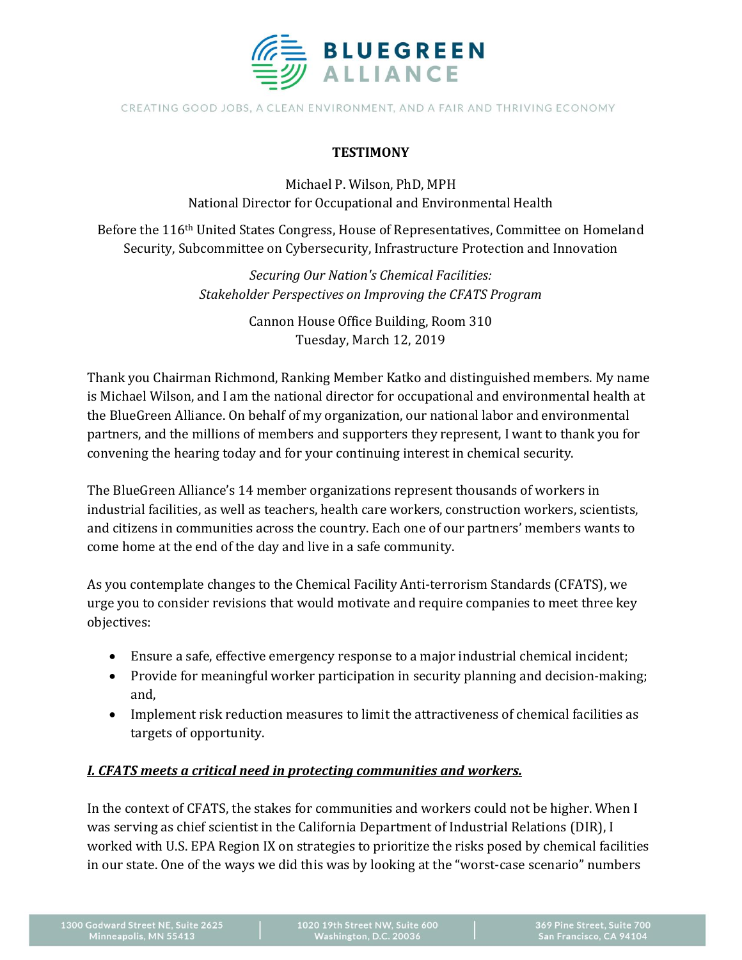

CREATING GOOD JOBS, A CLEAN ENVIRONMENT, AND A FAIR AND THRIVING ECONOMY

#### **TESTIMONY**

Michael P. Wilson, PhD, MPH National Director for Occupational and Environmental Health

Before the 116th United States Congress, House of Representatives, Committee on Homeland Security, Subcommittee on Cybersecurity, Infrastructure Protection and Innovation

> *Securing Our Nation's Chemical Facilities: Stakeholder Perspectives on Improving the CFATS Program*

> > Cannon House Office Building, Room 310 Tuesday, March 12, 2019

Thank you Chairman Richmond, Ranking Member Katko and distinguished members. My name is Michael Wilson, and I am the national director for occupational and environmental health at the BlueGreen Alliance. On behalf of my organization, our national labor and environmental partners, and the millions of members and supporters they represent, I want to thank you for convening the hearing today and for your continuing interest in chemical security.

The BlueGreen Alliance's 14 member organizations represent thousands of workers in industrial facilities, as well as teachers, health care workers, construction workers, scientists, and citizens in communities across the country. Each one of our partners' members wants to come home at the end of the day and live in a safe community.

As you contemplate changes to the Chemical Facility Anti-terrorism Standards (CFATS), we urge you to consider revisions that would motivate and require companies to meet three key objectives:

- Ensure a safe, effective emergency response to a major industrial chemical incident;
- Provide for meaningful worker participation in security planning and decision-making; and,
- Implement risk reduction measures to limit the attractiveness of chemical facilities as targets of opportunity.

#### *I. CFATS meets a critical need in protecting communities and workers.*

In the context of CFATS, the stakes for communities and workers could not be higher. When I was serving as chief scientist in the California Department of Industrial Relations (DIR), I worked with U.S. EPA Region IX on strategies to prioritize the risks posed by chemical facilities in our state. One of the ways we did this was by looking at the "worst-case scenario" numbers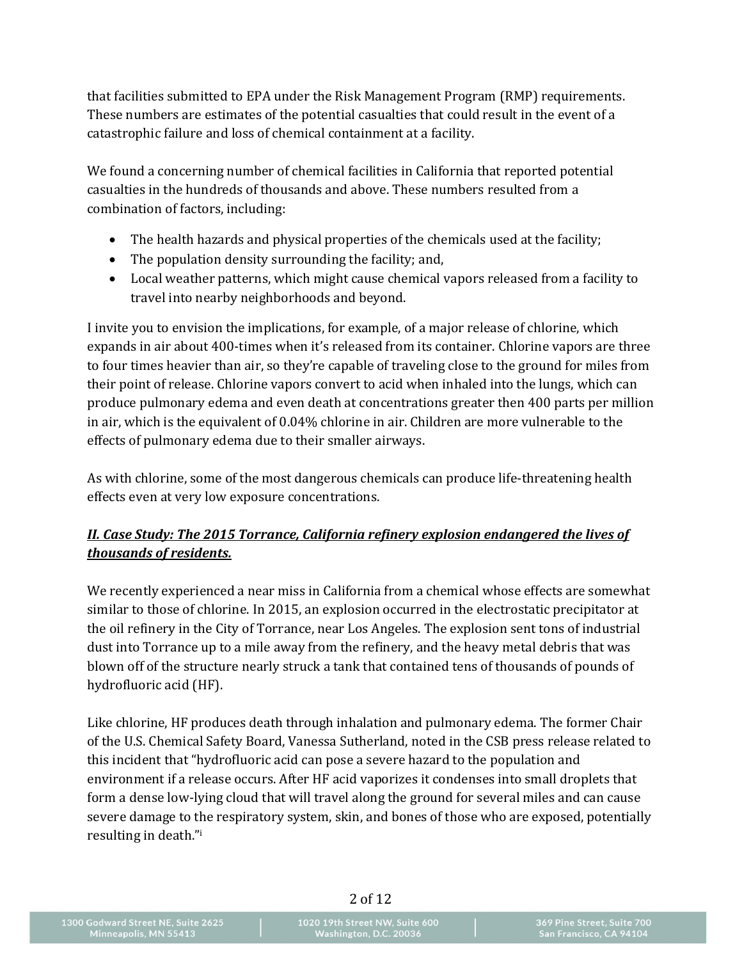that facilities submitted to EPA under the Risk Management Program (RMP) requirements. These numbers are estimates of the potential casualties that could result in the event of a catastrophic failure and loss of chemical containment at a facility.

We found a concerning number of chemical facilities in California that reported potential casualties in the hundreds of thousands and above. These numbers resulted from a combination of factors, including:

- The health hazards and physical properties of the chemicals used at the facility;
- The population density surrounding the facility; and,
- Local weather patterns, which might cause chemical vapors released from a facility to travel into nearby neighborhoods and beyond.

I invite you to envision the implications, for example, of a major release of chlorine, which expands in air about 400-times when it's released from its container. Chlorine vapors are three to four times heavier than air, so they're capable of traveling close to the ground for miles from their point of release. Chlorine vapors convert to acid when inhaled into the lungs, which can produce pulmonary edema and even death at concentrations greater then 400 parts per million in air, which is the equivalent of 0.04% chlorine in air. Children are more vulnerable to the effects of pulmonary edema due to their smaller airways.

As with chlorine, some of the most dangerous chemicals can produce life-threatening health effects even at very low exposure concentrations.

# *II. Case Study: The 2015 Torrance, California refinery explosion endangered the lives of thousands of residents.*

We recently experienced a near miss in California from a chemical whose effects are somewhat similar to those of chlorine. In 2015, an explosion occurred in the electrostatic precipitator at the oil refinery in the City of Torrance, near Los Angeles. The explosion sent tons of industrial dust into Torrance up to a mile away from the refinery, and the heavy metal debris that was blown off of the structure nearly struck a tank that contained tens of thousands of pounds of hydrofluoric acid (HF).

Like chlorine, HF produces death through inhalation and pulmonary edema. The former Chair of the U.S. Chemical Safety Board, Vanessa Sutherland, noted in the CSB press release related to this incident that "hydrofluoric acid can pose a severe hazard to the population and environment if a release occurs. After HF acid vaporizes it condenses into small droplets that form a dense low-lying cloud that will travel along the ground for several miles and can cause severe damage to the respiratory system, skin, and bones of those who are exposed, potentially resulting in death."i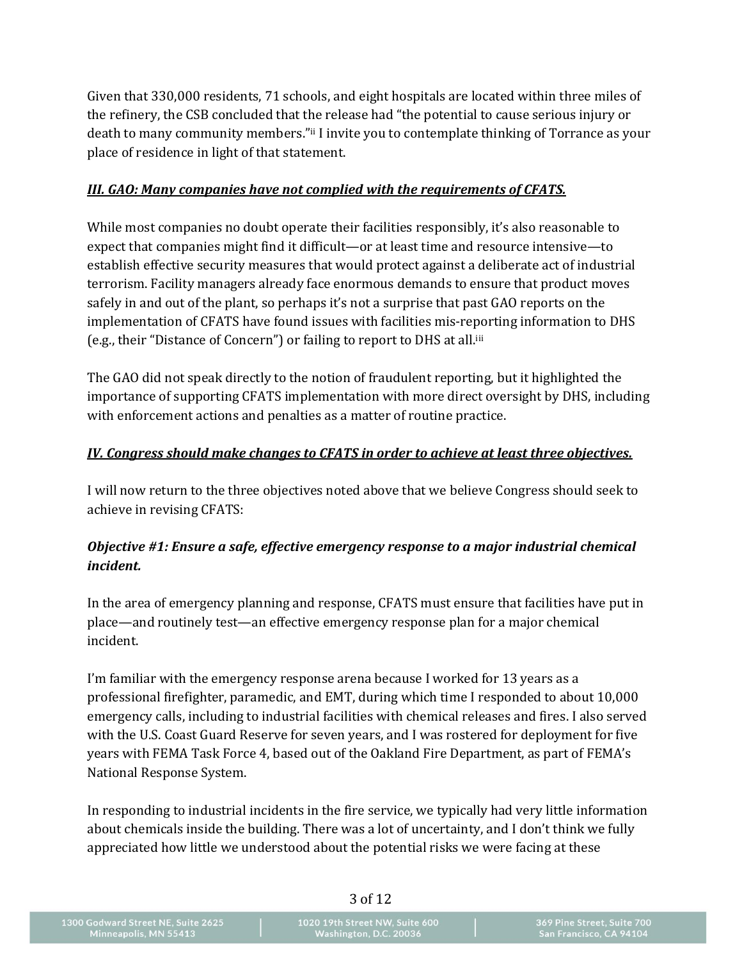Given that 330,000 residents, 71 schools, and eight hospitals are located within three miles of the refinery, the CSB concluded that the release had "the potential to cause serious injury or death to many community members."ii I invite you to contemplate thinking of Torrance as your place of residence in light of that statement.

#### *III. GAO: Many companies have not complied with the requirements of CFATS.*

While most companies no doubt operate their facilities responsibly, it's also reasonable to expect that companies might find it difficult—or at least time and resource intensive—to establish effective security measures that would protect against a deliberate act of industrial terrorism. Facility managers already face enormous demands to ensure that product moves safely in and out of the plant, so perhaps it's not a surprise that past GAO reports on the implementation of CFATS have found issues with facilities mis-reporting information to DHS (e.g., their "Distance of Concern") or failing to report to DHS at all.iii

The GAO did not speak directly to the notion of fraudulent reporting, but it highlighted the importance of supporting CFATS implementation with more direct oversight by DHS, including with enforcement actions and penalties as a matter of routine practice.

#### *IV. Congress should make changes to CFATS in order to achieve at least three objectives.*

I will now return to the three objectives noted above that we believe Congress should seek to achieve in revising CFATS:

## *Objective #1: Ensure a safe, effective emergency response to a major industrial chemical incident.*

In the area of emergency planning and response, CFATS must ensure that facilities have put in place—and routinely test—an effective emergency response plan for a major chemical incident.

I'm familiar with the emergency response arena because I worked for 13 years as a professional firefighter, paramedic, and EMT, during which time I responded to about 10,000 emergency calls, including to industrial facilities with chemical releases and fires. I also served with the U.S. Coast Guard Reserve for seven years, and I was rostered for deployment for five years with FEMA Task Force 4, based out of the Oakland Fire Department, as part of FEMA's National Response System.

In responding to industrial incidents in the fire service, we typically had very little information about chemicals inside the building. There was a lot of uncertainty, and I don't think we fully appreciated how little we understood about the potential risks we were facing at these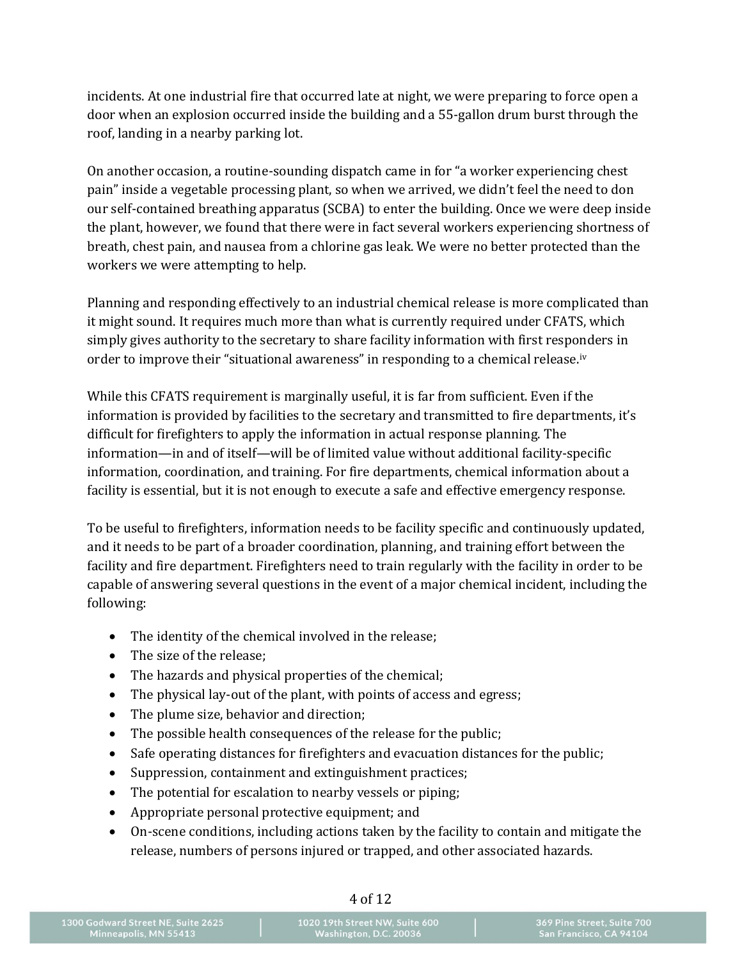incidents. At one industrial fire that occurred late at night, we were preparing to force open a door when an explosion occurred inside the building and a 55-gallon drum burst through the roof, landing in a nearby parking lot.

On another occasion, a routine-sounding dispatch came in for "a worker experiencing chest pain" inside a vegetable processing plant, so when we arrived, we didn't feel the need to don our self-contained breathing apparatus (SCBA) to enter the building. Once we were deep inside the plant, however, we found that there were in fact several workers experiencing shortness of breath, chest pain, and nausea from a chlorine gas leak. We were no better protected than the workers we were attempting to help.

Planning and responding effectively to an industrial chemical release is more complicated than it might sound. It requires much more than what is currently required under CFATS, which simply gives authority to the secretary to share facility information with first responders in order to improve their "situational awareness" in responding to a chemical release.<sup>iv</sup>

While this CFATS requirement is marginally useful, it is far from sufficient. Even if the information is provided by facilities to the secretary and transmitted to fire departments, it's difficult for firefighters to apply the information in actual response planning. The information—in and of itself—will be of limited value without additional facility-specific information, coordination, and training. For fire departments, chemical information about a facility is essential, but it is not enough to execute a safe and effective emergency response.

To be useful to firefighters, information needs to be facility specific and continuously updated, and it needs to be part of a broader coordination, planning, and training effort between the facility and fire department. Firefighters need to train regularly with the facility in order to be capable of answering several questions in the event of a major chemical incident, including the following:

- The identity of the chemical involved in the release;
- The size of the release:
- The hazards and physical properties of the chemical;
- The physical lay-out of the plant, with points of access and egress;
- The plume size, behavior and direction;
- The possible health consequences of the release for the public;
- Safe operating distances for firefighters and evacuation distances for the public;
- Suppression, containment and extinguishment practices;
- The potential for escalation to nearby vessels or piping;
- Appropriate personal protective equipment; and
- On-scene conditions, including actions taken by the facility to contain and mitigate the release, numbers of persons injured or trapped, and other associated hazards.

1300 Godward Street NE, Suite 2625<br>Minneapolis, MN 55413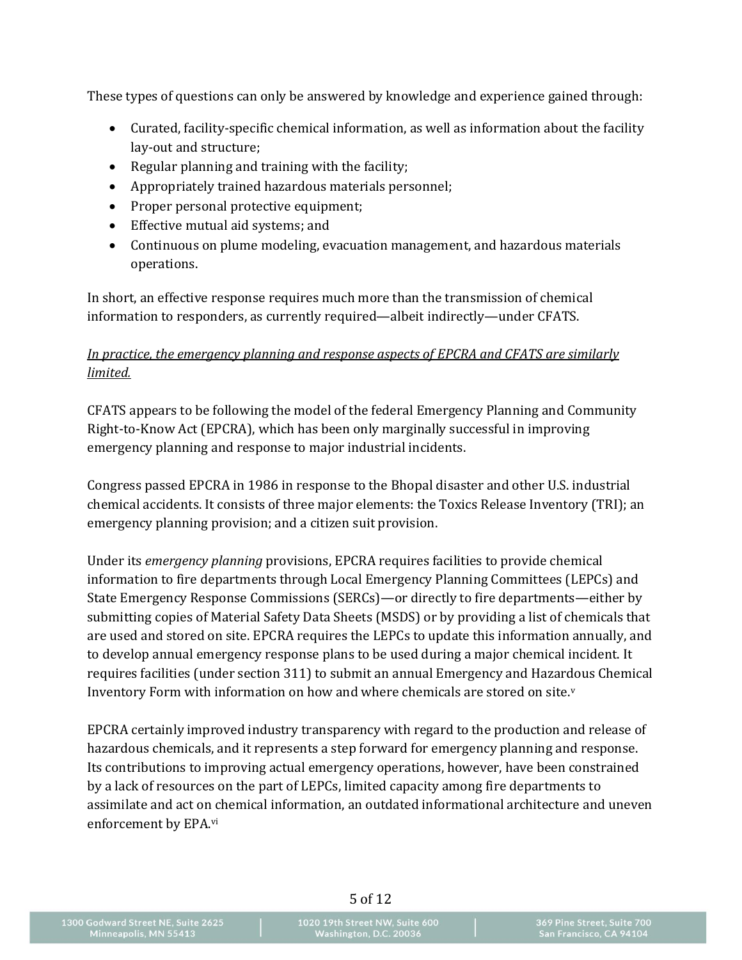These types of questions can only be answered by knowledge and experience gained through:

- Curated, facility-specific chemical information, as well as information about the facility lay-out and structure;
- Regular planning and training with the facility;
- Appropriately trained hazardous materials personnel;
- Proper personal protective equipment;
- Effective mutual aid systems; and
- Continuous on plume modeling, evacuation management, and hazardous materials operations.

In short, an effective response requires much more than the transmission of chemical information to responders, as currently required—albeit indirectly—under CFATS.

## *In practice, the emergency planning and response aspects of EPCRA and CFATS are similarly limited.*

CFATS appears to be following the model of the federal Emergency Planning and Community Right-to-Know Act (EPCRA), which has been only marginally successful in improving emergency planning and response to major industrial incidents.

Congress passed EPCRA in 1986 in response to the Bhopal disaster and other U.S. industrial chemical accidents. It consists of three major elements: the Toxics Release Inventory (TRI); an emergency planning provision; and a citizen suit provision.

Under its *emergency planning* provisions, EPCRA requires facilities to provide chemical information to fire departments through Local Emergency Planning Committees (LEPCs) and State Emergency Response Commissions (SERCs)—or directly to fire departments—either by submitting copies of Material Safety Data Sheets (MSDS) or by providing a list of chemicals that are used and stored on site. EPCRA requires the LEPCs to update this information annually, and to develop annual emergency response plans to be used during a major chemical incident. It requires facilities (under section 311) to submit an annual Emergency and Hazardous Chemical Inventory Form with information on how and where chemicals are stored on site.<sup>v</sup>

EPCRA certainly improved industry transparency with regard to the production and release of hazardous chemicals, and it represents a step forward for emergency planning and response. Its contributions to improving actual emergency operations, however, have been constrained by a lack of resources on the part of LEPCs, limited capacity among fire departments to assimilate and act on chemical information, an outdated informational architecture and uneven enforcement by EPA.vi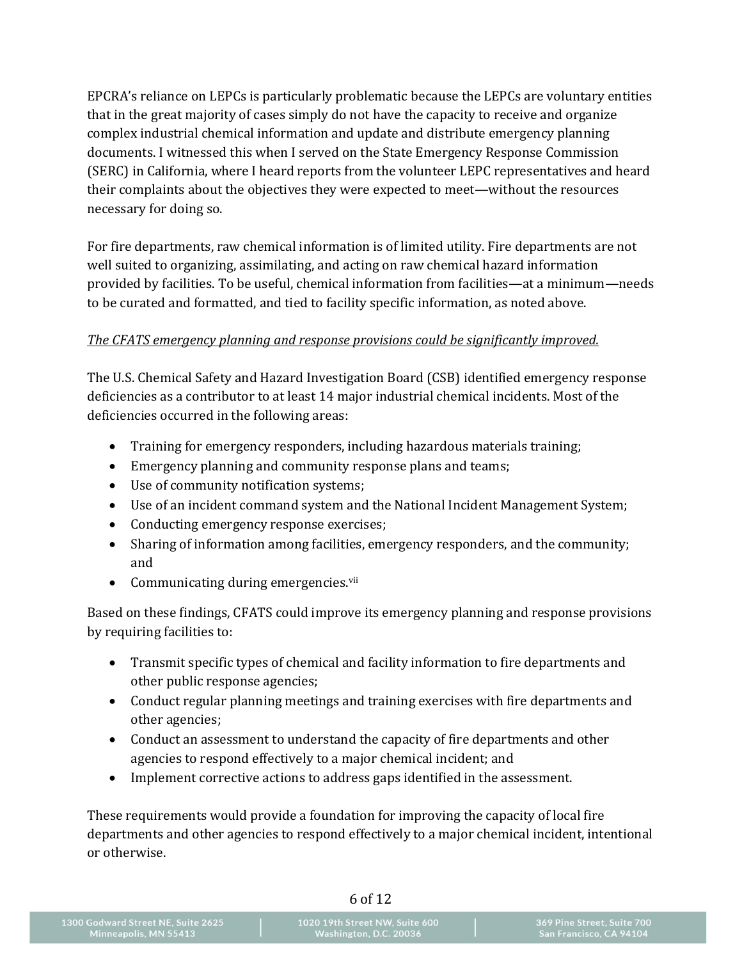EPCRA's reliance on LEPCs is particularly problematic because the LEPCs are voluntary entities that in the great majority of cases simply do not have the capacity to receive and organize complex industrial chemical information and update and distribute emergency planning documents. I witnessed this when I served on the State Emergency Response Commission (SERC) in California, where I heard reports from the volunteer LEPC representatives and heard their complaints about the objectives they were expected to meet—without the resources necessary for doing so.

For fire departments, raw chemical information is of limited utility. Fire departments are not well suited to organizing, assimilating, and acting on raw chemical hazard information provided by facilities. To be useful, chemical information from facilities—at a minimum—needs to be curated and formatted, and tied to facility specific information, as noted above.

## *The CFATS emergency planning and response provisions could be significantly improved.*

The U.S. Chemical Safety and Hazard Investigation Board (CSB) identified emergency response deficiencies as a contributor to at least 14 major industrial chemical incidents. Most of the deficiencies occurred in the following areas:

- Training for emergency responders, including hazardous materials training;
- Emergency planning and community response plans and teams;
- Use of community notification systems;
- Use of an incident command system and the National Incident Management System;
- Conducting emergency response exercises;
- Sharing of information among facilities, emergency responders, and the community; and
- Communicating during emergencies.<sup>vii</sup>

Based on these findings, CFATS could improve its emergency planning and response provisions by requiring facilities to:

- Transmit specific types of chemical and facility information to fire departments and other public response agencies;
- Conduct regular planning meetings and training exercises with fire departments and other agencies;
- Conduct an assessment to understand the capacity of fire departments and other agencies to respond effectively to a major chemical incident; and
- Implement corrective actions to address gaps identified in the assessment.

These requirements would provide a foundation for improving the capacity of local fire departments and other agencies to respond effectively to a major chemical incident, intentional or otherwise.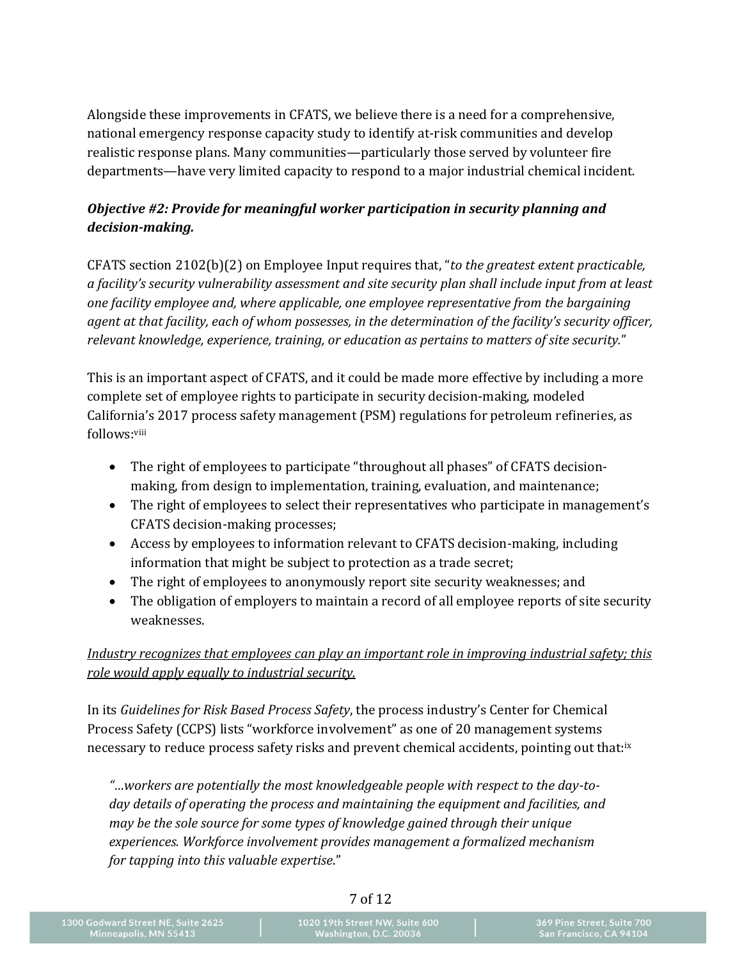Alongside these improvements in CFATS, we believe there is a need for a comprehensive, national emergency response capacity study to identify at-risk communities and develop realistic response plans. Many communities—particularly those served by volunteer fire departments—have very limited capacity to respond to a major industrial chemical incident.

## *Objective #2: Provide for meaningful worker participation in security planning and decision-making.*

CFATS section 2102(b)(2) on Employee Input requires that, "*to the greatest extent practicable, a facility's security vulnerability assessment and site security plan shall include input from at least one facility employee and, where applicable, one employee representative from the bargaining agent at that facility, each of whom possesses, in the determination of the facility's security officer, relevant knowledge, experience, training, or education as pertains to matters of site security.*"

This is an important aspect of CFATS, and it could be made more effective by including a more complete set of employee rights to participate in security decision-making, modeled California's 2017 process safety management (PSM) regulations for petroleum refineries, as follows:<sup>viii</sup>

- The right of employees to participate "throughout all phases" of CFATS decisionmaking, from design to implementation, training, evaluation, and maintenance;
- The right of employees to select their representatives who participate in management's CFATS decision-making processes;
- Access by employees to information relevant to CFATS decision-making, including information that might be subject to protection as a trade secret;
- The right of employees to anonymously report site security weaknesses; and
- The obligation of employers to maintain a record of all employee reports of site security weaknesses.

*Industry recognizes that employees can play an important role in improving industrial safety; this role would apply equally to industrial security.*

In its *Guidelines for Risk Based Process Safety*, the process industry's Center for Chemical Process Safety (CCPS) lists "workforce involvement" as one of 20 management systems necessary to reduce process safety risks and prevent chemical accidents, pointing out that:<sup>ix</sup>

*"…workers are potentially the most knowledgeable people with respect to the day-today details of operating the process and maintaining the equipment and facilities, and may be the sole source for some types of knowledge gained through their unique experiences. Workforce involvement provides management a formalized mechanism for tapping into this valuable expertise*."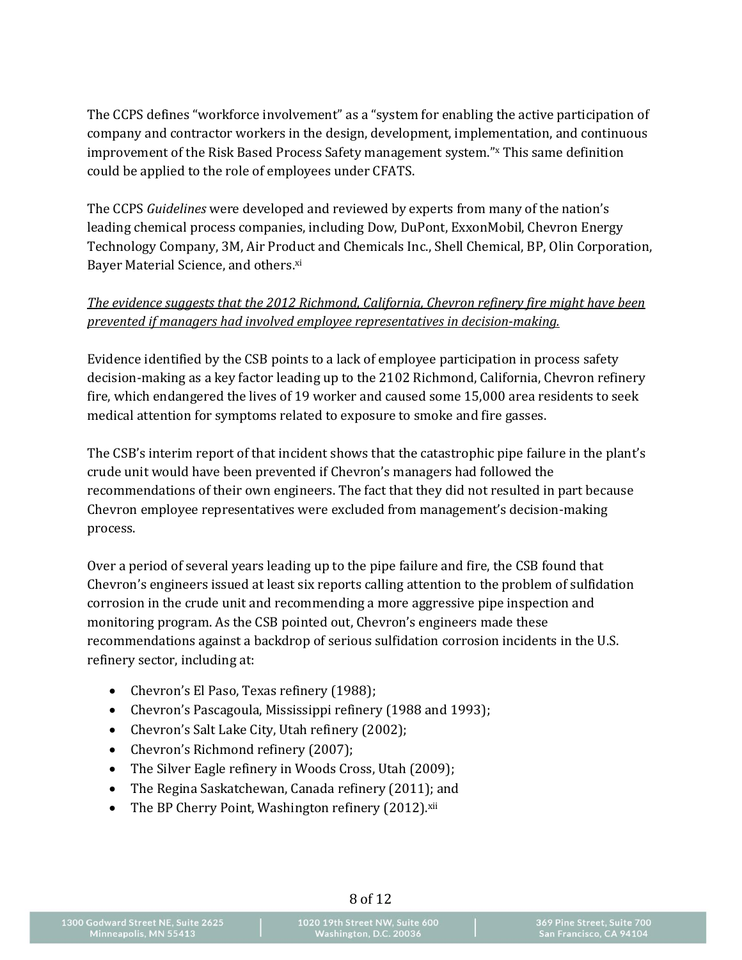The CCPS defines "workforce involvement" as a "system for enabling the active participation of company and contractor workers in the design, development, implementation, and continuous improvement of the Risk Based Process Safety management system."<sup>x</sup> This same definition could be applied to the role of employees under CFATS.

The CCPS *Guidelines* were developed and reviewed by experts from many of the nation's leading chemical process companies, including Dow, DuPont, ExxonMobil, Chevron Energy Technology Company, 3M, Air Product and Chemicals Inc., Shell Chemical, BP, Olin Corporation, Bayer Material Science, and others.<sup>xi</sup>

#### *The evidence suggests that the 2012 Richmond, California, Chevron refinery fire might have been prevented if managers had involved employee representatives in decision-making.*

Evidence identified by the CSB points to a lack of employee participation in process safety decision-making as a key factor leading up to the 2102 Richmond, California, Chevron refinery fire, which endangered the lives of 19 worker and caused some 15,000 area residents to seek medical attention for symptoms related to exposure to smoke and fire gasses.

The CSB's interim report of that incident shows that the catastrophic pipe failure in the plant's crude unit would have been prevented if Chevron's managers had followed the recommendations of their own engineers. The fact that they did not resulted in part because Chevron employee representatives were excluded from management's decision-making process.

Over a period of several years leading up to the pipe failure and fire, the CSB found that Chevron's engineers issued at least six reports calling attention to the problem of sulfidation corrosion in the crude unit and recommending a more aggressive pipe inspection and monitoring program. As the CSB pointed out, Chevron's engineers made these recommendations against a backdrop of serious sulfidation corrosion incidents in the U.S. refinery sector, including at:

- Chevron's El Paso, Texas refinery (1988);
- Chevron's Pascagoula, Mississippi refinery (1988 and 1993);
- Chevron's Salt Lake City, Utah refinery (2002);
- Chevron's Richmond refinery (2007);
- The Silver Eagle refinery in Woods Cross, Utah (2009);
- The Regina Saskatchewan, Canada refinery (2011); and
- The BP Cherry Point, Washington refinery  $(2012)$ .xii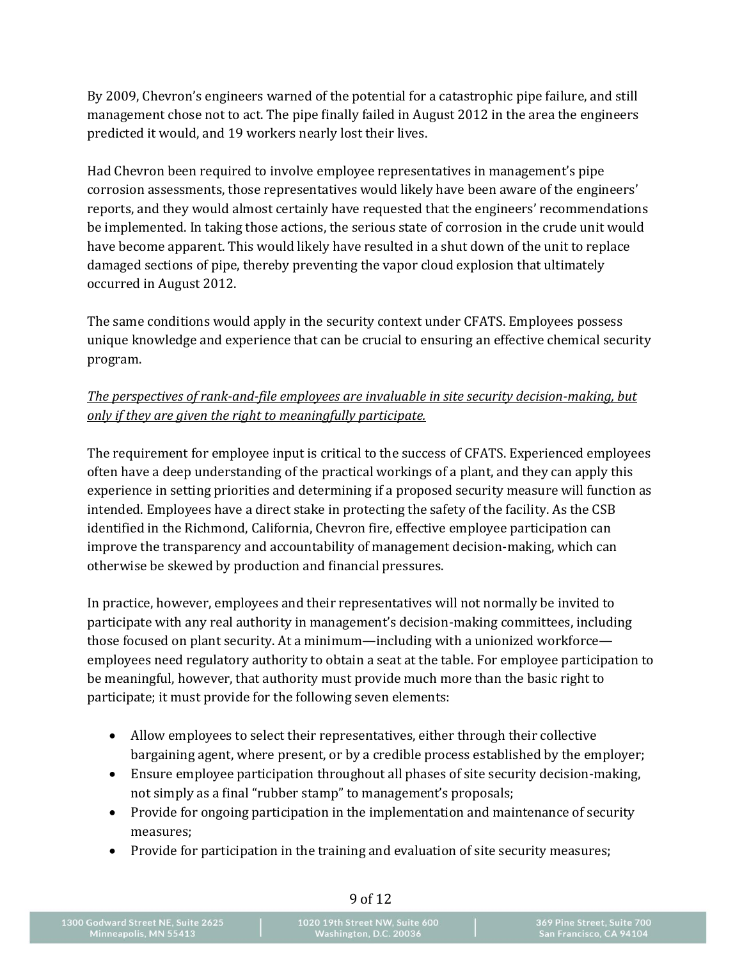By 2009, Chevron's engineers warned of the potential for a catastrophic pipe failure, and still management chose not to act. The pipe finally failed in August 2012 in the area the engineers predicted it would, and 19 workers nearly lost their lives.

Had Chevron been required to involve employee representatives in management's pipe corrosion assessments, those representatives would likely have been aware of the engineers' reports, and they would almost certainly have requested that the engineers' recommendations be implemented. In taking those actions, the serious state of corrosion in the crude unit would have become apparent. This would likely have resulted in a shut down of the unit to replace damaged sections of pipe, thereby preventing the vapor cloud explosion that ultimately occurred in August 2012.

The same conditions would apply in the security context under CFATS. Employees possess unique knowledge and experience that can be crucial to ensuring an effective chemical security program.

## *The perspectives of rank-and-file employees are invaluable in site security decision-making, but only if they are given the right to meaningfully participate.*

The requirement for employee input is critical to the success of CFATS. Experienced employees often have a deep understanding of the practical workings of a plant, and they can apply this experience in setting priorities and determining if a proposed security measure will function as intended. Employees have a direct stake in protecting the safety of the facility. As the CSB identified in the Richmond, California, Chevron fire, effective employee participation can improve the transparency and accountability of management decision-making, which can otherwise be skewed by production and financial pressures.

In practice, however, employees and their representatives will not normally be invited to participate with any real authority in management's decision-making committees, including those focused on plant security. At a minimum—including with a unionized workforce employees need regulatory authority to obtain a seat at the table. For employee participation to be meaningful, however, that authority must provide much more than the basic right to participate; it must provide for the following seven elements:

- Allow employees to select their representatives, either through their collective bargaining agent, where present, or by a credible process established by the employer;
- Ensure employee participation throughout all phases of site security decision-making, not simply as a final "rubber stamp" to management's proposals;
- Provide for ongoing participation in the implementation and maintenance of security measures;
- Provide for participation in the training and evaluation of site security measures;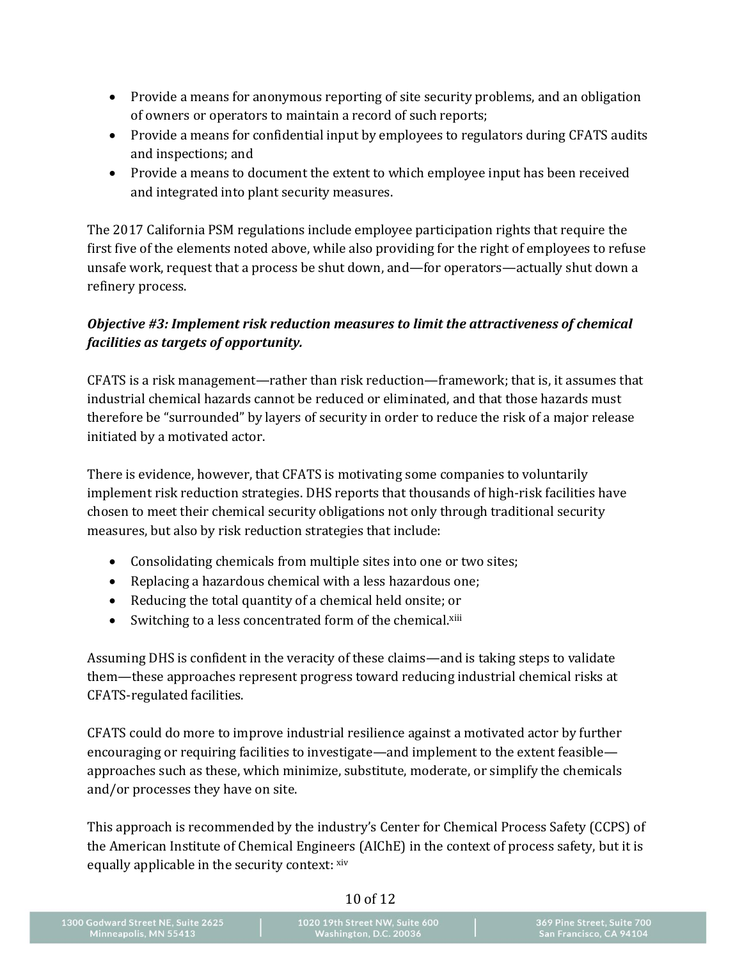- Provide a means for anonymous reporting of site security problems, and an obligation of owners or operators to maintain a record of such reports;
- Provide a means for confidential input by employees to regulators during CFATS audits and inspections; and
- Provide a means to document the extent to which employee input has been received and integrated into plant security measures.

The 2017 California PSM regulations include employee participation rights that require the first five of the elements noted above, while also providing for the right of employees to refuse unsafe work, request that a process be shut down, and—for operators—actually shut down a refinery process.

# *Objective #3: Implement risk reduction measures to limit the attractiveness of chemical facilities as targets of opportunity.*

CFATS is a risk management—rather than risk reduction—framework; that is, it assumes that industrial chemical hazards cannot be reduced or eliminated, and that those hazards must therefore be "surrounded" by layers of security in order to reduce the risk of a major release initiated by a motivated actor.

There is evidence, however, that CFATS is motivating some companies to voluntarily implement risk reduction strategies. DHS reports that thousands of high-risk facilities have chosen to meet their chemical security obligations not only through traditional security measures, but also by risk reduction strategies that include:

- Consolidating chemicals from multiple sites into one or two sites;
- Replacing a hazardous chemical with a less hazardous one;
- Reducing the total quantity of a chemical held onsite; or
- Switching to a less concentrated form of the chemical.<sup>xiii</sup>

Assuming DHS is confident in the veracity of these claims—and is taking steps to validate them—these approaches represent progress toward reducing industrial chemical risks at CFATS-regulated facilities.

CFATS could do more to improve industrial resilience against a motivated actor by further encouraging or requiring facilities to investigate—and implement to the extent feasible approaches such as these, which minimize, substitute, moderate, or simplify the chemicals and/or processes they have on site.

This approach is recommended by the industry's Center for Chemical Process Safety (CCPS) of the American Institute of Chemical Engineers (AIChE) in the context of process safety, but it is equally applicable in the security context: xiv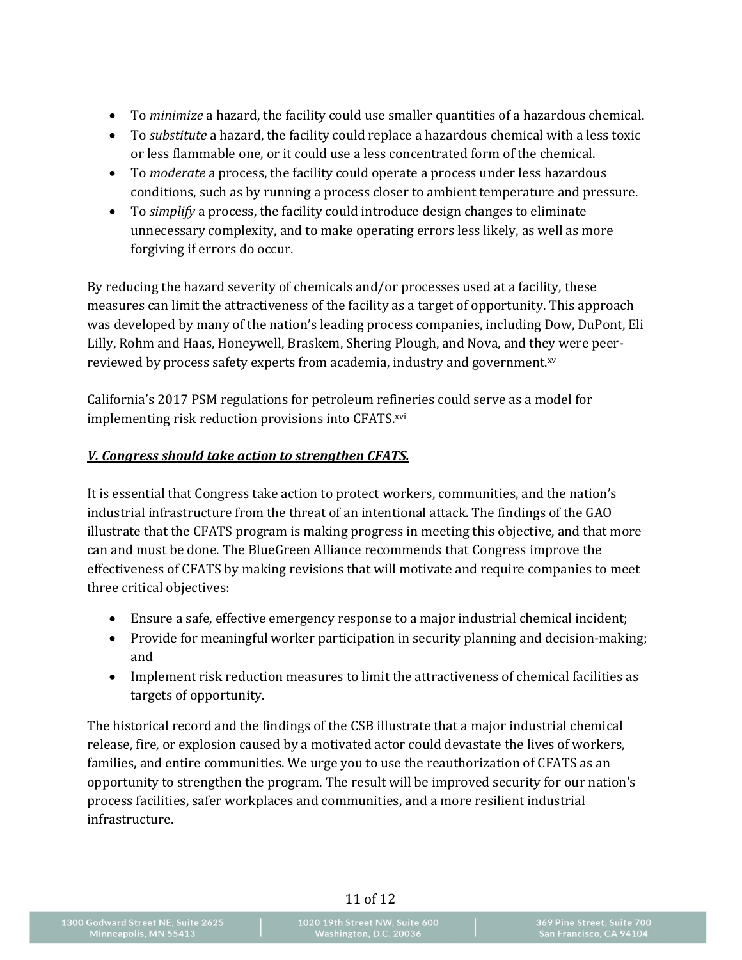- To *minimize* a hazard, the facility could use smaller quantities of a hazardous chemical.
- To *substitute* a hazard, the facility could replace a hazardous chemical with a less toxic or less flammable one, or it could use a less concentrated form of the chemical.
- To *moderate* a process, the facility could operate a process under less hazardous conditions, such as by running a process closer to ambient temperature and pressure.
- To *simplify* a process, the facility could introduce design changes to eliminate unnecessary complexity, and to make operating errors less likely, as well as more forgiving if errors do occur.

By reducing the hazard severity of chemicals and/or processes used at a facility, these measures can limit the attractiveness of the facility as a target of opportunity. This approach was developed by many of the nation's leading process companies, including Dow, DuPont, Eli Lilly, Rohm and Haas, Honeywell, Braskem, Shering Plough, and Nova, and they were peerreviewed by process safety experts from academia, industry and government.xv

California's 2017 PSM regulations for petroleum refineries could serve as a model for implementing risk reduction provisions into CFATS.xvi

#### *V. Congress should take action to strengthen CFATS.*

It is essential that Congress take action to protect workers, communities, and the nation's industrial infrastructure from the threat of an intentional attack. The findings of the GAO illustrate that the CFATS program is making progress in meeting this objective, and that more can and must be done. The BlueGreen Alliance recommends that Congress improve the effectiveness of CFATS by making revisions that will motivate and require companies to meet three critical objectives:

- Ensure a safe, effective emergency response to a major industrial chemical incident;
- Provide for meaningful worker participation in security planning and decision-making; and
- Implement risk reduction measures to limit the attractiveness of chemical facilities as targets of opportunity.

The historical record and the findings of the CSB illustrate that a major industrial chemical release, fire, or explosion caused by a motivated actor could devastate the lives of workers, families, and entire communities. We urge you to use the reauthorization of CFATS as an opportunity to strengthen the program. The result will be improved security for our nation's process facilities, safer workplaces and communities, and a more resilient industrial infrastructure.